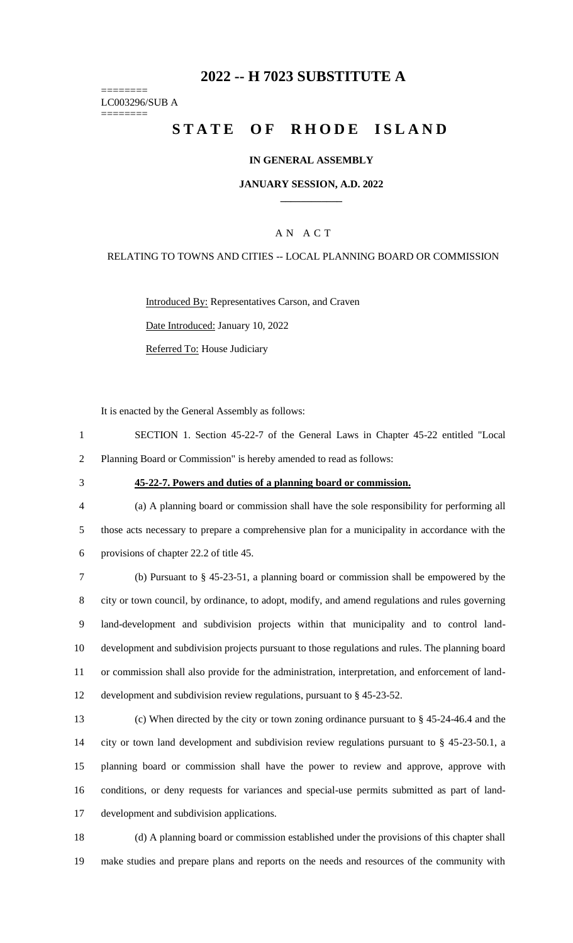# **-- H 7023 SUBSTITUTE A**

======== LC003296/SUB A ========

# **STATE OF RHODE ISLAND**

## **IN GENERAL ASSEMBLY**

## **JANUARY SESSION, A.D. 2022 \_\_\_\_\_\_\_\_\_\_\_\_**

# A N A C T

## RELATING TO TOWNS AND CITIES -- LOCAL PLANNING BOARD OR COMMISSION

Introduced By: Representatives Carson, and Craven Date Introduced: January 10, 2022 Referred To: House Judiciary

It is enacted by the General Assembly as follows:

- SECTION 1. Section 45-22-7 of the General Laws in Chapter 45-22 entitled "Local Planning Board or Commission" is hereby amended to read as follows:
- 

#### **45-22-7. Powers and duties of a planning board or commission.**

 (a) A planning board or commission shall have the sole responsibility for performing all those acts necessary to prepare a comprehensive plan for a municipality in accordance with the provisions of chapter 22.2 of title 45.

 (b) Pursuant to § 45-23-51, a planning board or commission shall be empowered by the city or town council, by ordinance, to adopt, modify, and amend regulations and rules governing land-development and subdivision projects within that municipality and to control land- development and subdivision projects pursuant to those regulations and rules. The planning board or commission shall also provide for the administration, interpretation, and enforcement of land-development and subdivision review regulations, pursuant to § 45-23-52.

 (c) When directed by the city or town zoning ordinance pursuant to § 45-24-46.4 and the city or town land development and subdivision review regulations pursuant to § 45-23-50.1, a planning board or commission shall have the power to review and approve, approve with conditions, or deny requests for variances and special-use permits submitted as part of land-development and subdivision applications.

 (d) A planning board or commission established under the provisions of this chapter shall make studies and prepare plans and reports on the needs and resources of the community with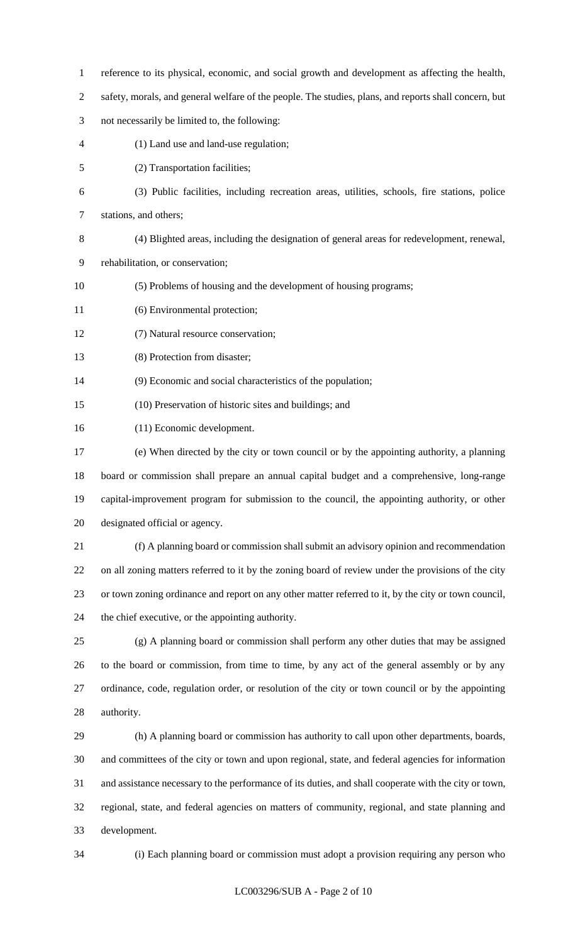- reference to its physical, economic, and social growth and development as affecting the health,
- safety, morals, and general welfare of the people. The studies, plans, and reports shall concern, but
- not necessarily be limited to, the following:
- (1) Land use and land-use regulation;
- (2) Transportation facilities;
- (3) Public facilities, including recreation areas, utilities, schools, fire stations, police
- stations, and others;
- (4) Blighted areas, including the designation of general areas for redevelopment, renewal,
- rehabilitation, or conservation;
- (5) Problems of housing and the development of housing programs;
- (6) Environmental protection;
- (7) Natural resource conservation;
- (8) Protection from disaster;
- (9) Economic and social characteristics of the population;
- (10) Preservation of historic sites and buildings; and
- (11) Economic development.
- (e) When directed by the city or town council or by the appointing authority, a planning board or commission shall prepare an annual capital budget and a comprehensive, long-range capital-improvement program for submission to the council, the appointing authority, or other designated official or agency.
- (f) A planning board or commission shall submit an advisory opinion and recommendation on all zoning matters referred to it by the zoning board of review under the provisions of the city or town zoning ordinance and report on any other matter referred to it, by the city or town council, the chief executive, or the appointing authority.
- (g) A planning board or commission shall perform any other duties that may be assigned to the board or commission, from time to time, by any act of the general assembly or by any ordinance, code, regulation order, or resolution of the city or town council or by the appointing authority.
- (h) A planning board or commission has authority to call upon other departments, boards, and committees of the city or town and upon regional, state, and federal agencies for information and assistance necessary to the performance of its duties, and shall cooperate with the city or town, regional, state, and federal agencies on matters of community, regional, and state planning and development.
- 

(i) Each planning board or commission must adopt a provision requiring any person who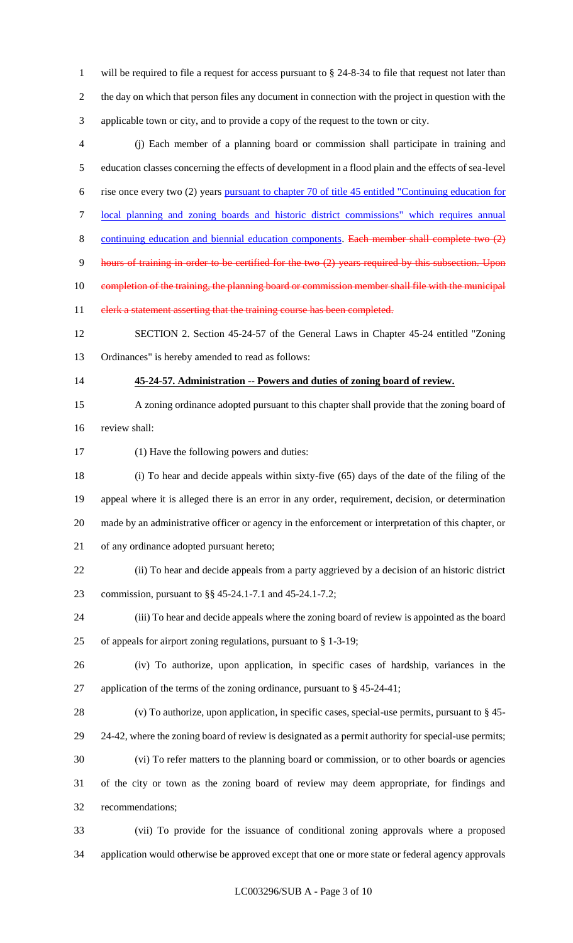will be required to file a request for access pursuant to § 24-8-34 to file that request not later than the day on which that person files any document in connection with the project in question with the applicable town or city, and to provide a copy of the request to the town or city.

 (j) Each member of a planning board or commission shall participate in training and education classes concerning the effects of development in a flood plain and the effects of sea-level rise once every two (2) years pursuant to chapter 70 of title 45 entitled "Continuing education for local planning and zoning boards and historic district commissions" which requires annual

- 8 continuing education and biennial education components. Each member shall complete two (2)
- 9 hours of training in order to be certified for the two (2) years required by this subsection. Upon
- 10 completion of the training, the planning board or commission member shall file with the municipal
- 11 elerk a statement asserting that the training course has been completed.

 SECTION 2. Section 45-24-57 of the General Laws in Chapter 45-24 entitled "Zoning Ordinances" is hereby amended to read as follows:

## **45-24-57. Administration -- Powers and duties of zoning board of review.**

 A zoning ordinance adopted pursuant to this chapter shall provide that the zoning board of review shall:

(1) Have the following powers and duties:

 (i) To hear and decide appeals within sixty-five (65) days of the date of the filing of the appeal where it is alleged there is an error in any order, requirement, decision, or determination made by an administrative officer or agency in the enforcement or interpretation of this chapter, or of any ordinance adopted pursuant hereto;

 (ii) To hear and decide appeals from a party aggrieved by a decision of an historic district commission, pursuant to §§ 45-24.1-7.1 and 45-24.1-7.2;

 (iii) To hear and decide appeals where the zoning board of review is appointed as the board of appeals for airport zoning regulations, pursuant to § 1-3-19;

 (iv) To authorize, upon application, in specific cases of hardship, variances in the application of the terms of the zoning ordinance, pursuant to § 45-24-41;

 (v) To authorize, upon application, in specific cases, special-use permits, pursuant to § 45- 24-42, where the zoning board of review is designated as a permit authority for special-use permits; (vi) To refer matters to the planning board or commission, or to other boards or agencies of the city or town as the zoning board of review may deem appropriate, for findings and recommendations;

 (vii) To provide for the issuance of conditional zoning approvals where a proposed application would otherwise be approved except that one or more state or federal agency approvals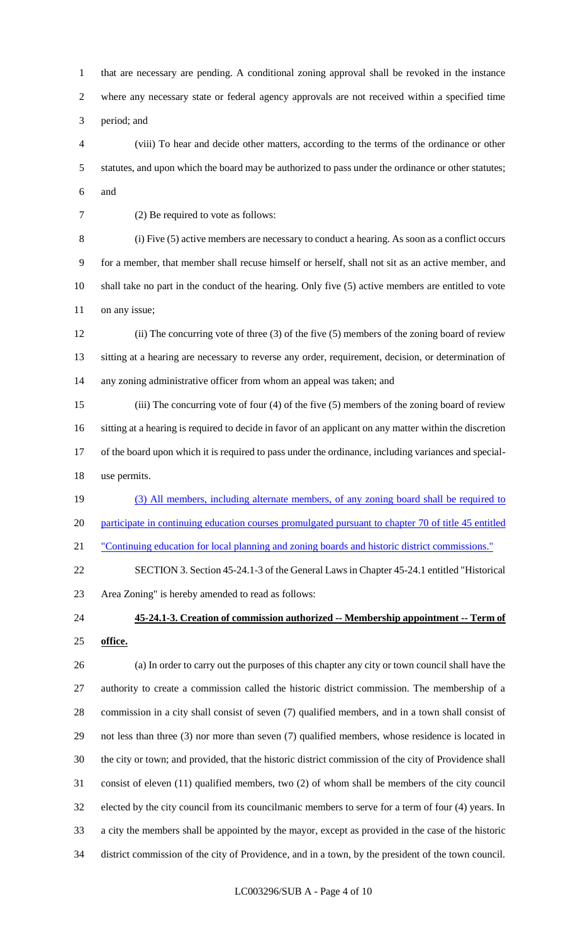that are necessary are pending. A conditional zoning approval shall be revoked in the instance where any necessary state or federal agency approvals are not received within a specified time period; and

 (viii) To hear and decide other matters, according to the terms of the ordinance or other statutes, and upon which the board may be authorized to pass under the ordinance or other statutes; and

(2) Be required to vote as follows:

 (i) Five (5) active members are necessary to conduct a hearing. As soon as a conflict occurs for a member, that member shall recuse himself or herself, shall not sit as an active member, and shall take no part in the conduct of the hearing. Only five (5) active members are entitled to vote 11 on any issue;

 (ii) The concurring vote of three (3) of the five (5) members of the zoning board of review sitting at a hearing are necessary to reverse any order, requirement, decision, or determination of any zoning administrative officer from whom an appeal was taken; and

 (iii) The concurring vote of four (4) of the five (5) members of the zoning board of review sitting at a hearing is required to decide in favor of an applicant on any matter within the discretion of the board upon which it is required to pass under the ordinance, including variances and special-use permits.

 (3) All members, including alternate members, of any zoning board shall be required to participate in continuing education courses promulgated pursuant to chapter 70 of title 45 entitled

"Continuing education for local planning and zoning boards and historic district commissions."

 SECTION 3. Section 45-24.1-3 of the General Laws in Chapter 45-24.1 entitled "Historical Area Zoning" is hereby amended to read as follows:

# **45-24.1-3. Creation of commission authorized -- Membership appointment -- Term of office.**

 (a) In order to carry out the purposes of this chapter any city or town council shall have the authority to create a commission called the historic district commission. The membership of a commission in a city shall consist of seven (7) qualified members, and in a town shall consist of not less than three (3) nor more than seven (7) qualified members, whose residence is located in the city or town; and provided, that the historic district commission of the city of Providence shall consist of eleven (11) qualified members, two (2) of whom shall be members of the city council elected by the city council from its councilmanic members to serve for a term of four (4) years. In a city the members shall be appointed by the mayor, except as provided in the case of the historic district commission of the city of Providence, and in a town, by the president of the town council.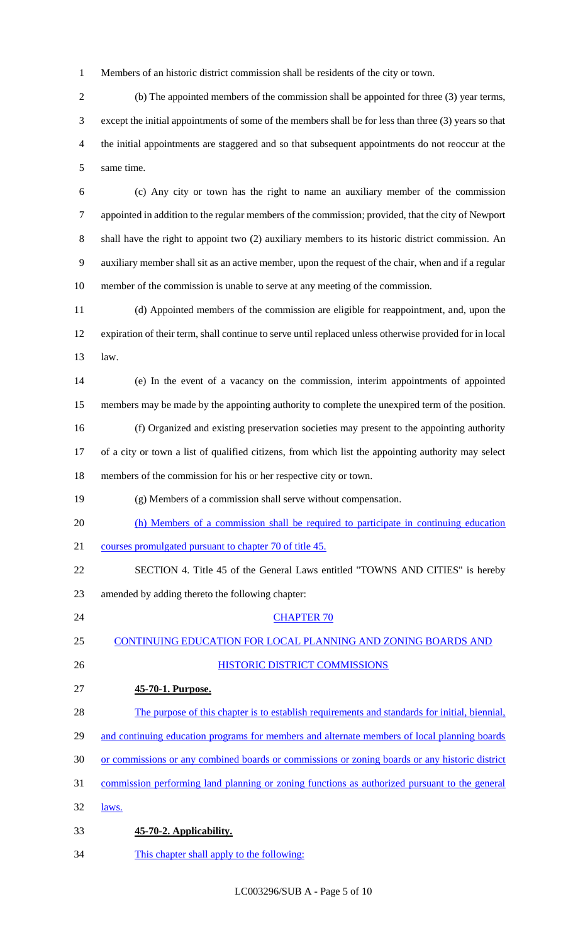Members of an historic district commission shall be residents of the city or town.

 (b) The appointed members of the commission shall be appointed for three (3) year terms, except the initial appointments of some of the members shall be for less than three (3) years so that the initial appointments are staggered and so that subsequent appointments do not reoccur at the same time.

 (c) Any city or town has the right to name an auxiliary member of the commission appointed in addition to the regular members of the commission; provided, that the city of Newport shall have the right to appoint two (2) auxiliary members to its historic district commission. An auxiliary member shall sit as an active member, upon the request of the chair, when and if a regular member of the commission is unable to serve at any meeting of the commission.

 (d) Appointed members of the commission are eligible for reappointment, and, upon the expiration of their term, shall continue to serve until replaced unless otherwise provided for in local law.

 (e) In the event of a vacancy on the commission, interim appointments of appointed members may be made by the appointing authority to complete the unexpired term of the position.

 (f) Organized and existing preservation societies may present to the appointing authority of a city or town a list of qualified citizens, from which list the appointing authority may select

members of the commission for his or her respective city or town.

(g) Members of a commission shall serve without compensation.

(h) Members of a commission shall be required to participate in continuing education

courses promulgated pursuant to chapter 70 of title 45.

 SECTION 4. Title 45 of the General Laws entitled "TOWNS AND CITIES" is hereby amended by adding thereto the following chapter:

24 CHAPTER 70

CONTINUING EDUCATION FOR LOCAL PLANNING AND ZONING BOARDS AND

# HISTORIC DISTRICT COMMISSIONS

**45-70-1. Purpose.** 

 The purpose of this chapter is to establish requirements and standards for initial, biennial, 29 and continuing education programs for members and alternate members of local planning boards or commissions or any combined boards or commissions or zoning boards or any historic district commission performing land planning or zoning functions as authorized pursuant to the general

- 32 <u>laws.</u>
- **45-70-2. Applicability.**
- This chapter shall apply to the following:

LC003296/SUB A - Page 5 of 10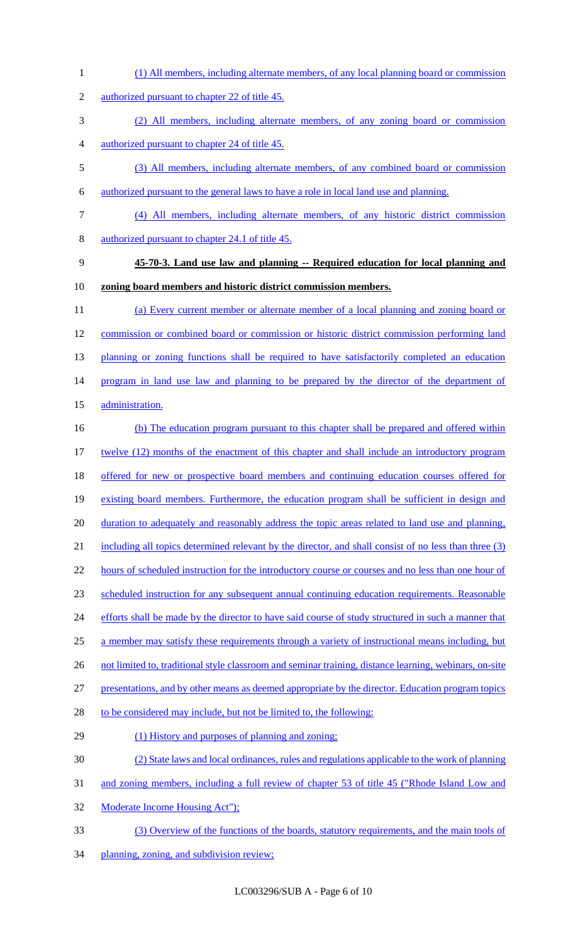(1) All members, including alternate members, of any local planning board or commission authorized pursuant to chapter 22 of title 45. (2) All members, including alternate members, of any zoning board or commission authorized pursuant to chapter 24 of title 45. (3) All members, including alternate members, of any combined board or commission authorized pursuant to the general laws to have a role in local land use and planning. (4) All members, including alternate members, of any historic district commission authorized pursuant to chapter 24.1 of title 45. **45-70-3. Land use law and planning -- Required education for local planning and zoning board members and historic district commission members.**  (a) Every current member or alternate member of a local planning and zoning board or commission or combined board or commission or historic district commission performing land 13 planning or zoning functions shall be required to have satisfactorily completed an education 14 program in land use law and planning to be prepared by the director of the department of 15 administration. (b) The education program pursuant to this chapter shall be prepared and offered within 17 twelve (12) months of the enactment of this chapter and shall include an introductory program offered for new or prospective board members and continuing education courses offered for existing board members. Furthermore, the education program shall be sufficient in design and 20 duration to adequately and reasonably address the topic areas related to land use and planning, 21 including all topics determined relevant by the director, and shall consist of no less than three (3) 22 hours of scheduled instruction for the introductory course or courses and no less than one hour of scheduled instruction for any subsequent annual continuing education requirements. Reasonable 24 efforts shall be made by the director to have said course of study structured in such a manner that 25 a member may satisfy these requirements through a variety of instructional means including, but 26 not limited to, traditional style classroom and seminar training, distance learning, webinars, on-site presentations, and by other means as deemed appropriate by the director. Education program topics 28 to be considered may include, but not be limited to, the following: 29 (1) History and purposes of planning and zoning; (2) State laws and local ordinances, rules and regulations applicable to the work of planning and zoning members, including a full review of chapter 53 of title 45 ("Rhode Island Low and Moderate Income Housing Act"); (3) Overview of the functions of the boards, statutory requirements, and the main tools of 34 planning, zoning, and subdivision review;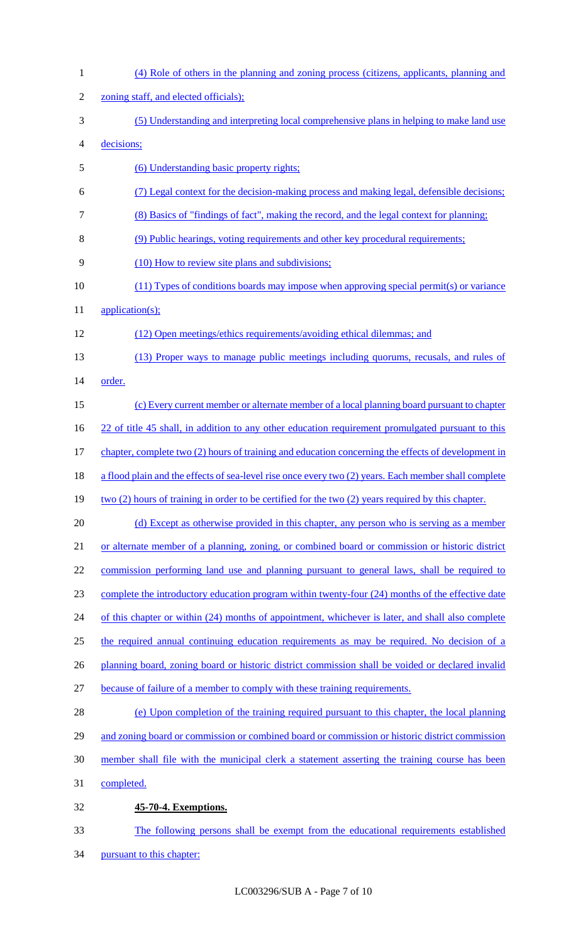| $\mathbf{1}$   | (4) Role of others in the planning and zoning process (citizens, applicants, planning and              |
|----------------|--------------------------------------------------------------------------------------------------------|
| $\overline{c}$ | zoning staff, and elected officials);                                                                  |
| 3              | (5) Understanding and interpreting local comprehensive plans in helping to make land use               |
| 4              | decisions;                                                                                             |
| 5              | (6) Understanding basic property rights;                                                               |
| 6              | (7) Legal context for the decision-making process and making legal, defensible decisions;              |
| 7              | (8) Basics of "findings of fact", making the record, and the legal context for planning;               |
| 8              | (9) Public hearings, voting requirements and other key procedural requirements;                        |
| 9              | (10) How to review site plans and subdivisions;                                                        |
| 10             | (11) Types of conditions boards may impose when approving special permit(s) or variance                |
| 11             | application(s);                                                                                        |
| 12             | (12) Open meetings/ethics requirements/avoiding ethical dilemmas; and                                  |
| 13             | (13) Proper ways to manage public meetings including quorums, recusals, and rules of                   |
| 14             | order.                                                                                                 |
| 15             | (c) Every current member or alternate member of a local planning board pursuant to chapter             |
| 16             | 22 of title 45 shall, in addition to any other education requirement promulgated pursuant to this      |
| 17             | chapter, complete two (2) hours of training and education concerning the effects of development in     |
| 18             | a flood plain and the effects of sea-level rise once every two (2) years. Each member shall complete   |
| 19             | $two (2)$ hours of training in order to be certified for the two $(2)$ years required by this chapter. |
| 20             | (d) Except as otherwise provided in this chapter, any person who is serving as a member                |
| 21             | or alternate member of a planning, zoning, or combined board or commission or historic district        |
| 22             | commission performing land use and planning pursuant to general laws, shall be required to             |
| 23             | complete the introductory education program within twenty-four (24) months of the effective date       |
| 24             | of this chapter or within (24) months of appointment, whichever is later, and shall also complete      |
| 25             | the required annual continuing education requirements as may be required. No decision of a             |
| 26             | planning board, zoning board or historic district commission shall be voided or declared invalid       |
| 27             | because of failure of a member to comply with these training requirements.                             |
| 28             | (e) Upon completion of the training required pursuant to this chapter, the local planning              |
| 29             | and zoning board or commission or combined board or commission or historic district commission         |
| 30             | member shall file with the municipal clerk a statement asserting the training course has been          |
| 31             | completed.                                                                                             |
| 32             | 45-70-4. Exemptions.                                                                                   |
| 33             | The following persons shall be exempt from the educational requirements established                    |
| 34             | pursuant to this chapter:                                                                              |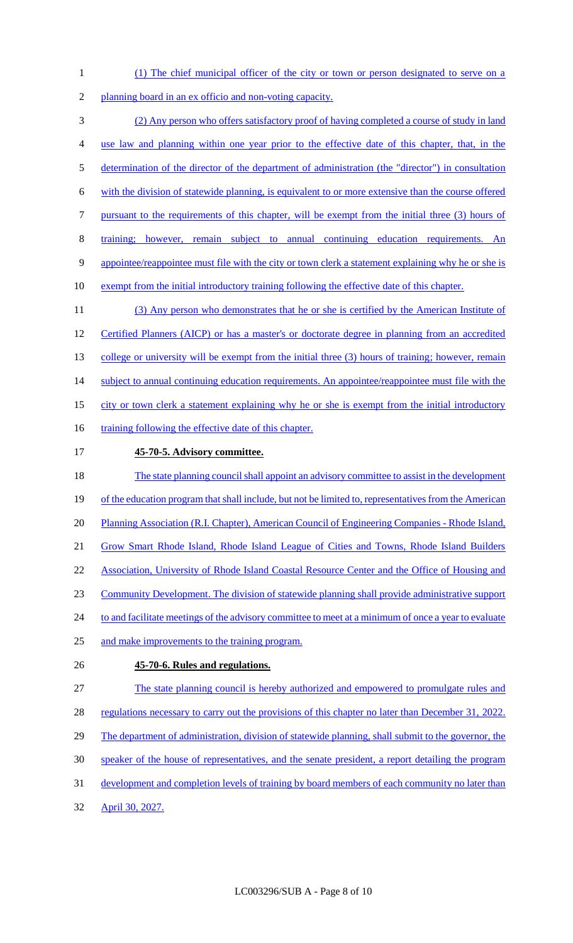- 1 (1) The chief municipal officer of the city or town or person designated to serve on a
- 2 planning board in an ex officio and non-voting capacity.

 (2) Any person who offers satisfactory proof of having completed a course of study in land use law and planning within one year prior to the effective date of this chapter, that, in the determination of the director of the department of administration (the "director") in consultation with the division of statewide planning, is equivalent to or more extensive than the course offered pursuant to the requirements of this chapter, will be exempt from the initial three (3) hours of training; however, remain subject to annual continuing education requirements. An appointee/reappointee must file with the city or town clerk a statement explaining why he or she is 10 exempt from the initial introductory training following the effective date of this chapter. 11 (3) Any person who demonstrates that he or she is certified by the American Institute of

12 Certified Planners (AICP) or has a master's or doctorate degree in planning from an accredited 13 college or university will be exempt from the initial three (3) hours of training; however, remain 14 subject to annual continuing education requirements. An appointee/reappointee must file with the 15 city or town clerk a statement explaining why he or she is exempt from the initial introductory 16 training following the effective date of this chapter.

- 17 **45-70-5. Advisory committee.**
- 18 The state planning council shall appoint an advisory committee to assist in the development 19 of the education program that shall include, but not be limited to, representatives from the American 20 Planning Association (R.I. Chapter), American Council of Engineering Companies - Rhode Island, 21 Grow Smart Rhode Island, Rhode Island League of Cities and Towns, Rhode Island Builders 22 Association, University of Rhode Island Coastal Resource Center and the Office of Housing and 23 Community Development. The division of statewide planning shall provide administrative support 24 to and facilitate meetings of the advisory committee to meet at a minimum of once a year to evaluate 25 and make improvements to the training program.
- 

# 26 **45-70-6. Rules and regulations.**

27 The state planning council is hereby authorized and empowered to promulgate rules and

- 28 regulations necessary to carry out the provisions of this chapter no later than December 31, 2022.
- 29 The department of administration, division of statewide planning, shall submit to the governor, the
- 30 speaker of the house of representatives, and the senate president, a report detailing the program
- 31 development and completion levels of training by board members of each community no later than
- 32 April 30, 2027.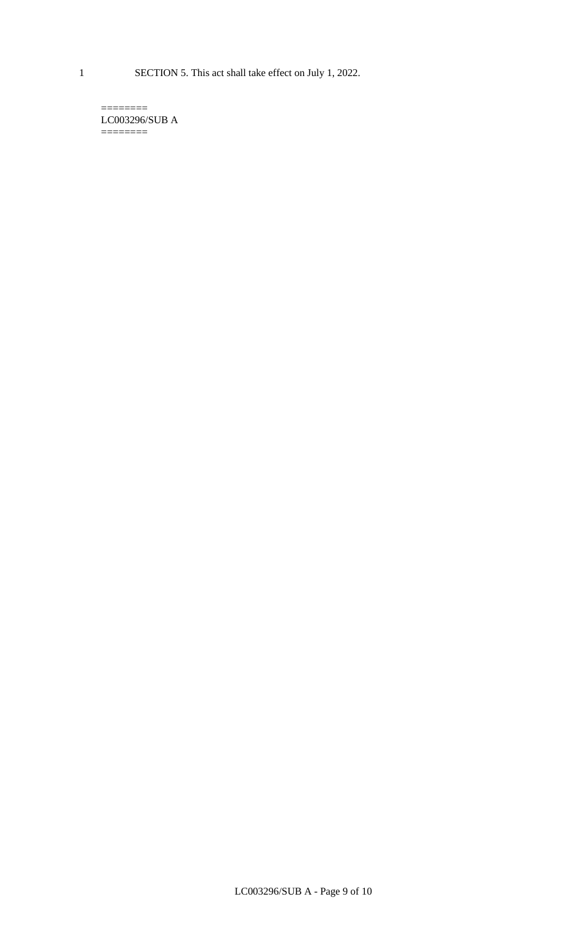1 SECTION 5. This act shall take effect on July 1, 2022.

 $=$ LC003296/SUB A  $=$